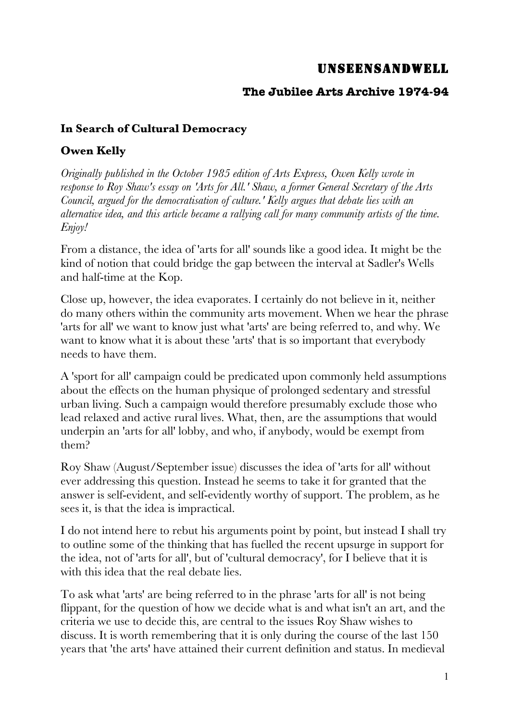## UNSEENSANDWELL

## **The Jubilee Arts Archive 1974-94**

## **In Search of Cultural Democracy**

## **Owen Kelly**

*Originally published in the October 1985 edition of Arts Express, Owen Kelly wrote in response to Roy Shaw's essay on 'Arts for All.' Shaw, a former General Secretary of the Arts Council, argued for the democratisation of culture.' Kelly argues that debate lies with an alternative idea, and this article became a rallying call for many community artists of the time. Enjoy!*

From a distance, the idea of 'arts for all' sounds like a good idea. It might be the kind of notion that could bridge the gap between the interval at Sadler's Wells and half-time at the Kop.

Close up, however, the idea evaporates. I certainly do not believe in it, neither do many others within the community arts movement. When we hear the phrase 'arts for all' we want to know just what 'arts' are being referred to, and why. We want to know what it is about these 'arts' that is so important that everybody needs to have them.

A 'sport for all' campaign could be predicated upon commonly held assumptions about the effects on the human physique of prolonged sedentary and stressful urban living. Such a campaign would therefore presumably exclude those who lead relaxed and active rural lives. What, then, are the assumptions that would underpin an 'arts for all' lobby, and who, if anybody, would be exempt from them?

Roy Shaw (August/September issue) discusses the idea of 'arts for all' without ever addressing this question. Instead he seems to take it for granted that the answer is self-evident, and self-evidently worthy of support. The problem, as he sees it, is that the idea is impractical.

I do not intend here to rebut his arguments point by point, but instead I shall try to outline some of the thinking that has fuelled the recent upsurge in support for the idea, not of 'arts for all', but of 'cultural democracy', for I believe that it is with this idea that the real debate lies.

To ask what 'arts' are being referred to in the phrase 'arts for all' is not being flippant, for the question of how we decide what is and what isn't an art, and the criteria we use to decide this, are central to the issues Roy Shaw wishes to discuss. It is worth remembering that it is only during the course of the last 150 years that 'the arts' have attained their current definition and status. In medieval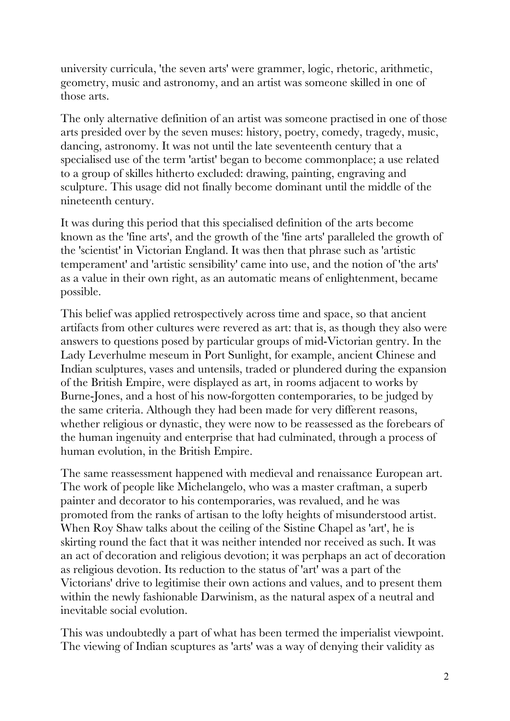university curricula, 'the seven arts' were grammer, logic, rhetoric, arithmetic, geometry, music and astronomy, and an artist was someone skilled in one of those arts.

The only alternative definition of an artist was someone practised in one of those arts presided over by the seven muses: history, poetry, comedy, tragedy, music, dancing, astronomy. It was not until the late seventeenth century that a specialised use of the term 'artist' began to become commonplace; a use related to a group of skilles hitherto excluded: drawing, painting, engraving and sculpture. This usage did not finally become dominant until the middle of the nineteenth century.

It was during this period that this specialised definition of the arts become known as the 'fine arts', and the growth of the 'fine arts' paralleled the growth of the 'scientist' in Victorian England. It was then that phrase such as 'artistic temperament' and 'artistic sensibility' came into use, and the notion of 'the arts' as a value in their own right, as an automatic means of enlightenment, became possible.

This belief was applied retrospectively across time and space, so that ancient artifacts from other cultures were revered as art: that is, as though they also were answers to questions posed by particular groups of mid-Victorian gentry. In the Lady Leverhulme meseum in Port Sunlight, for example, ancient Chinese and Indian sculptures, vases and untensils, traded or plundered during the expansion of the British Empire, were displayed as art, in rooms adjacent to works by Burne-Jones, and a host of his now-forgotten contemporaries, to be judged by the same criteria. Although they had been made for very different reasons, whether religious or dynastic, they were now to be reassessed as the forebears of the human ingenuity and enterprise that had culminated, through a process of human evolution, in the British Empire.

The same reassessment happened with medieval and renaissance European art. The work of people like Michelangelo, who was a master craftman, a superb painter and decorator to his contemporaries, was revalued, and he was promoted from the ranks of artisan to the lofty heights of misunderstood artist. When Roy Shaw talks about the ceiling of the Sistine Chapel as 'art', he is skirting round the fact that it was neither intended nor received as such. It was an act of decoration and religious devotion; it was perphaps an act of decoration as religious devotion. Its reduction to the status of 'art' was a part of the Victorians' drive to legitimise their own actions and values, and to present them within the newly fashionable Darwinism, as the natural aspex of a neutral and inevitable social evolution.

This was undoubtedly a part of what has been termed the imperialist viewpoint. The viewing of Indian scuptures as 'arts' was a way of denying their validity as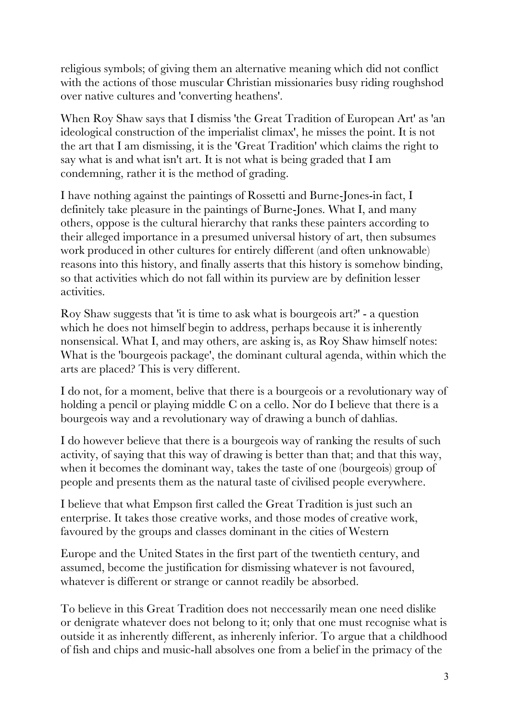religious symbols; of giving them an alternative meaning which did not conflict with the actions of those muscular Christian missionaries busy riding roughshod over native cultures and 'converting heathens'.

When Roy Shaw says that I dismiss 'the Great Tradition of European Art' as 'an ideological construction of the imperialist climax', he misses the point. It is not the art that I am dismissing, it is the 'Great Tradition' which claims the right to say what is and what isn't art. It is not what is being graded that I am condemning, rather it is the method of grading.

I have nothing against the paintings of Rossetti and Burne-Jones-in fact, I definitely take pleasure in the paintings of Burne-Jones. What I, and many others, oppose is the cultural hierarchy that ranks these painters according to their alleged importance in a presumed universal history of art, then subsumes work produced in other cultures for entirely different (and often unknowable) reasons into this history, and finally asserts that this history is somehow binding, so that activities which do not fall within its purview are by definition lesser activities.

Roy Shaw suggests that 'it is time to ask what is bourgeois art?' - a question which he does not himself begin to address, perhaps because it is inherently nonsensical. What I, and may others, are asking is, as Roy Shaw himself notes: What is the 'bourgeois package', the dominant cultural agenda, within which the arts are placed? This is very different.

I do not, for a moment, belive that there is a bourgeois or a revolutionary way of holding a pencil or playing middle C on a cello. Nor do I believe that there is a bourgeois way and a revolutionary way of drawing a bunch of dahlias.

I do however believe that there is a bourgeois way of ranking the results of such activity, of saying that this way of drawing is better than that; and that this way, when it becomes the dominant way, takes the taste of one (bourgeois) group of people and presents them as the natural taste of civilised people everywhere.

I believe that what Empson first called the Great Tradition is just such an enterprise. It takes those creative works, and those modes of creative work, favoured by the groups and classes dominant in the cities of Western

Europe and the United States in the first part of the twentieth century, and assumed, become the justification for dismissing whatever is not favoured, whatever is different or strange or cannot readily be absorbed.

To believe in this Great Tradition does not neccessarily mean one need dislike or denigrate whatever does not belong to it; only that one must recognise what is outside it as inherently different, as inherenly inferior. To argue that a childhood of fish and chips and music-hall absolves one from a belief in the primacy of the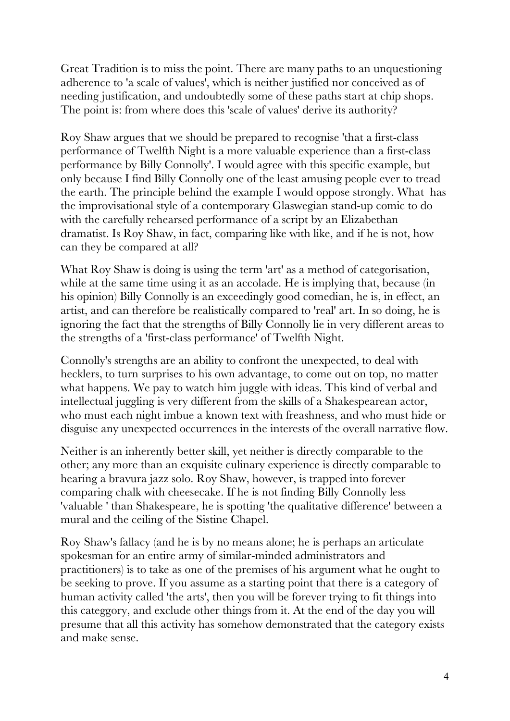Great Tradition is to miss the point. There are many paths to an unquestioning adherence to 'a scale of values', which is neither justified nor conceived as of needing justification, and undoubtedly some of these paths start at chip shops. The point is: from where does this 'scale of values' derive its authority?

Roy Shaw argues that we should be prepared to recognise 'that a first-class performance of Twelfth Night is a more valuable experience than a first-class performance by Billy Connolly'. I would agree with this specific example, but only because I find Billy Connolly one of the least amusing people ever to tread the earth. The principle behind the example I would oppose strongly. What has the improvisational style of a contemporary Glaswegian stand-up comic to do with the carefully rehearsed performance of a script by an Elizabethan dramatist. Is Roy Shaw, in fact, comparing like with like, and if he is not, how can they be compared at all?

What Roy Shaw is doing is using the term 'art' as a method of categorisation, while at the same time using it as an accolade. He is implying that, because (in his opinion) Billy Connolly is an exceedingly good comedian, he is, in effect, an artist, and can therefore be realistically compared to 'real' art. In so doing, he is ignoring the fact that the strengths of Billy Connolly lie in very different areas to the strengths of a 'first-class performance' of Twelfth Night.

Connolly's strengths are an ability to confront the unexpected, to deal with hecklers, to turn surprises to his own advantage, to come out on top, no matter what happens. We pay to watch him juggle with ideas. This kind of verbal and intellectual juggling is very different from the skills of a Shakespearean actor, who must each night imbue a known text with freashness, and who must hide or disguise any unexpected occurrences in the interests of the overall narrative flow.

Neither is an inherently better skill, yet neither is directly comparable to the other; any more than an exquisite culinary experience is directly comparable to hearing a bravura jazz solo. Roy Shaw, however, is trapped into forever comparing chalk with cheesecake. If he is not finding Billy Connolly less 'valuable ' than Shakespeare, he is spotting 'the qualitative difference' between a mural and the ceiling of the Sistine Chapel.

Roy Shaw's fallacy (and he is by no means alone; he is perhaps an articulate spokesman for an entire army of similar-minded administrators and practitioners) is to take as one of the premises of his argument what he ought to be seeking to prove. If you assume as a starting point that there is a category of human activity called 'the arts', then you will be forever trying to fit things into this categgory, and exclude other things from it. At the end of the day you will presume that all this activity has somehow demonstrated that the category exists and make sense.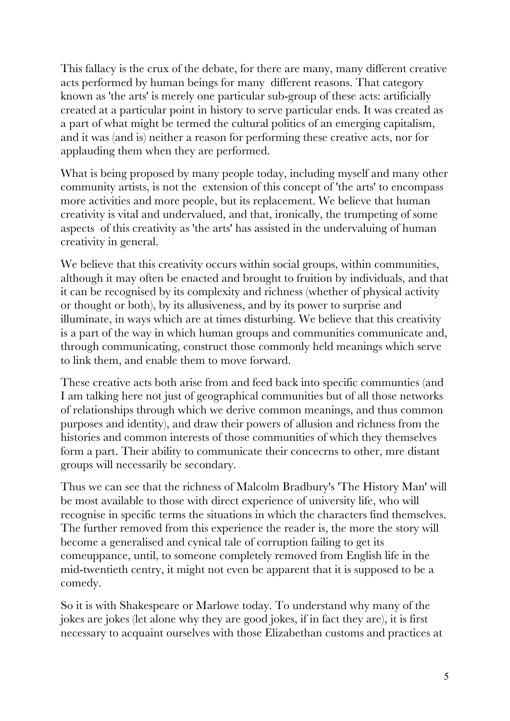This fallacy is the crux of the debate, for there are many, many different creative acts performed by human beings for many different reasons. That category known as 'the arts' is merely one particular sub-group of these acts: artificially created at a particular point in history to serve particular ends. It was created as a part of what might be termed the cultural politics of an emerging capitalism, and it was (and is) neither a reason for performing these creative acts, nor for applauding them when they are performed.

What is being proposed by many people today, including myself and many other community artists, is not the extension of this concept of 'the arts' to encompass more activities and more people, but its replacement. We believe that human creativity is vital and undervalued, and that, ironically, the trumpeting of some aspects of this creativity as 'the arts' has assisted in the undervaluing of human creativity in general.

We believe that this creativity occurs within social groups, within communities, although it may often be enacted and brought to fruition by individuals, and that it can be recognised by its complexity and richness (whether of physical activity or thought or both), by its allusiveness, and by its power to surprise and illuminate, in ways which are at times disturbing. We believe that this creativity is a part of the way in which human groups and communities communicate and, through communicating, construct those commonly held meanings which serve to link them, and enable them to move forward.

These creative acts both arise from and feed back into specific communties (and I am talking here not just of geographical communities but of all those networks of relationships through which we derive common meanings, and thus common purposes and identity), and draw their powers of allusion and richness from the histories and common interests of those communities of which they themselves form a part. Their ability to communicate their concecrns to other, mre distant groups will necessarily be secondary.

Thus we can see that the richness of Malcolm Bradbury's 'The History Man' will be most available to those with direct experience of university life, who will recognise in specific terms the situations in which the characters find themselves. The further removed from this experience the reader is, the more the story will become a generalised and cynical tale of corruption failing to get its comeuppance, until, to someone completely removed from English life in the mid-twentieth centry, it might not even be apparent that it is supposed to be a comedy.

So it is with Shakespeare or Marlowe today. To understand why many of the jokes are jokes (let alone why they are good jokes, if in fact they are), it is first necessary to acquaint ourselves with those Elizabethan customs and practices at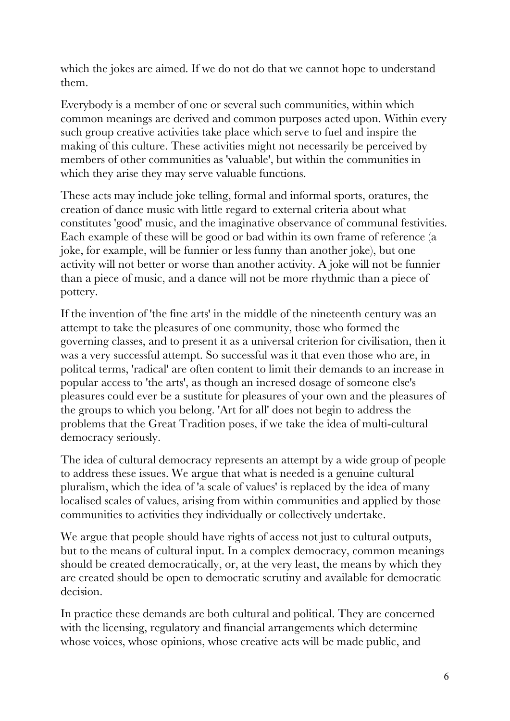which the jokes are aimed. If we do not do that we cannot hope to understand them.

Everybody is a member of one or several such communities, within which common meanings are derived and common purposes acted upon. Within every such group creative activities take place which serve to fuel and inspire the making of this culture. These activities might not necessarily be perceived by members of other communities as 'valuable', but within the communities in which they arise they may serve valuable functions.

These acts may include joke telling, formal and informal sports, oratures, the creation of dance music with little regard to external criteria about what constitutes 'good' music, and the imaginative observance of communal festivities. Each example of these will be good or bad within its own frame of reference (a joke, for example, will be funnier or less funny than another joke), but one activity will not better or worse than another activity. A joke will not be funnier than a piece of music, and a dance will not be more rhythmic than a piece of pottery.

If the invention of 'the fine arts' in the middle of the nineteenth century was an attempt to take the pleasures of one community, those who formed the governing classes, and to present it as a universal criterion for civilisation, then it was a very successful attempt. So successful was it that even those who are, in politcal terms, 'radical' are often content to limit their demands to an increase in popular access to 'the arts', as though an incresed dosage of someone else's pleasures could ever be a sustitute for pleasures of your own and the pleasures of the groups to which you belong. 'Art for all' does not begin to address the problems that the Great Tradition poses, if we take the idea of multi-cultural democracy seriously.

The idea of cultural democracy represents an attempt by a wide group of people to address these issues. We argue that what is needed is a genuine cultural pluralism, which the idea of 'a scale of values' is replaced by the idea of many localised scales of values, arising from within communities and applied by those communities to activities they individually or collectively undertake.

We argue that people should have rights of access not just to cultural outputs, but to the means of cultural input. In a complex democracy, common meanings should be created democratically, or, at the very least, the means by which they are created should be open to democratic scrutiny and available for democratic decision.

In practice these demands are both cultural and political. They are concerned with the licensing, regulatory and financial arrangements which determine whose voices, whose opinions, whose creative acts will be made public, and